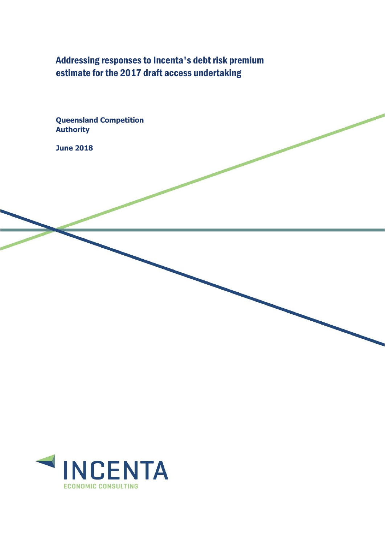Addressing responses to Incenta's debt risk premium estimate for the 2017 draft access undertaking

**Queensland Competition Authority**

**June 2018**

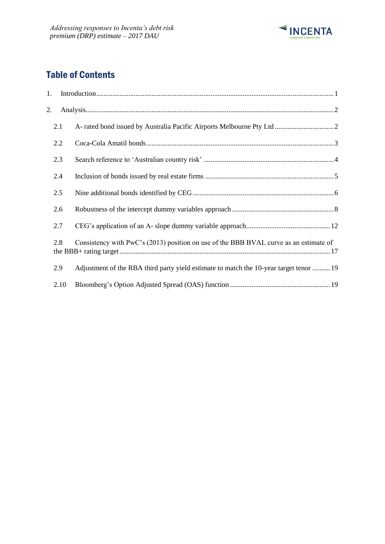

# Table of Contents

| 1. |      |                                                                                        |  |
|----|------|----------------------------------------------------------------------------------------|--|
| 2. |      |                                                                                        |  |
|    | 2.1  |                                                                                        |  |
|    | 2.2  |                                                                                        |  |
|    | 2.3  |                                                                                        |  |
|    | 2.4  |                                                                                        |  |
|    | 2.5  |                                                                                        |  |
|    | 2.6  |                                                                                        |  |
|    | 2.7  |                                                                                        |  |
|    | 2.8  | Consistency with PwC's (2013) position on use of the BBB BVAL curve as an estimate of  |  |
|    | 2.9  | Adjustment of the RBA third party yield estimate to match the 10-year target tenor  19 |  |
|    | 2.10 |                                                                                        |  |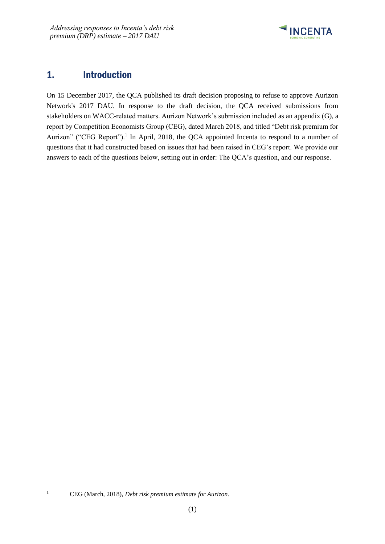

## <span id="page-2-0"></span>1. Introduction

On 15 December 2017, the QCA published its draft decision proposing to refuse to approve Aurizon Network's 2017 DAU. In response to the draft decision, the QCA received submissions from stakeholders on WACC-related matters. Aurizon Network's submission included as an appendix (G), a report by Competition Economists Group (CEG), dated March 2018, and titled "Debt risk premium for Aurizon" ("CEG Report").<sup>1</sup> In April, 2018, the QCA appointed Incenta to respond to a number of questions that it had constructed based on issues that had been raised in CEG's report. We provide our answers to each of the questions below, setting out in order: The QCA's question, and our response.

1

<sup>1</sup> CEG (March, 2018), *Debt risk premium estimate for Aurizon*.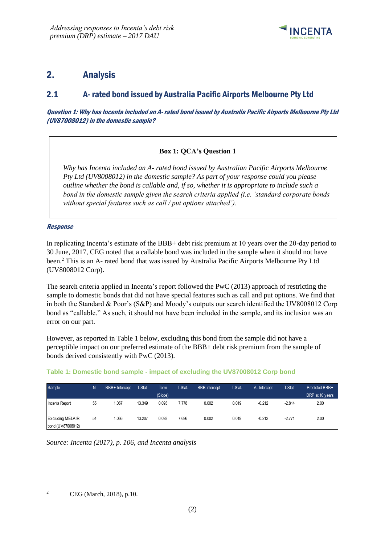

## <span id="page-3-0"></span>2. Analysis

## <span id="page-3-1"></span>2.1 A- rated bond issued by Australia Pacific Airports Melbourne Pty Ltd

Question 1: Why has Incenta included an A- rated bond issued by Australia Pacific Airports Melbourne Pty Ltd (UV87008012) in the domestic sample?

### **Box 1: QCA's Question 1**

*Why has Incenta included an A- rated bond issued by Australian Pacific Airports Melbourne Pty Ltd (UV8008012) in the domestic sample? As part of your response could you please outline whether the bond is callable and, if so, whether it is appropriate to include such a bond in the domestic sample given the search criteria applied (i.e. 'standard corporate bonds without special features such as call / put options attached').*

### Response

In replicating Incenta's estimate of the BBB+ debt risk premium at 10 years over the 20-day period to 30 June, 2017, CEG noted that a callable bond was included in the sample when it should not have been.<sup>2</sup> This is an A- rated bond that was issued by Australia Pacific Airports Melbourne Pty Ltd (UV8008012 Corp).

The search criteria applied in Incenta's report followed the PwC (2013) approach of restricting the sample to domestic bonds that did not have special features such as call and put options. We find that in both the Standard & Poor's (S&P) and Moody's outputs our search identified the UV8008012 Corp bond as "callable." As such, it should not have been included in the sample, and its inclusion was an error on our part.

However, as reported in Table 1 below, excluding this bond from the sample did not have a perceptible impact on our preferred estimate of the BBB+ debt risk premium from the sample of bonds derived consistently with PwC (2013).

| Sample                                       | N  | BBB+ Intercept | T-Stat. | Term    | <b>T-Stat</b> | <b>BBB</b> intercept | T-Stat. | A-Intercept | T-Stat.  | Predicted BBB+  |
|----------------------------------------------|----|----------------|---------|---------|---------------|----------------------|---------|-------------|----------|-----------------|
|                                              |    |                |         | (Slope) |               |                      |         |             |          | DRP at 10 years |
| Incenta Report                               | 55 | .067           | 13.349  | 0.093   | 7.778         | 0.002                | 0.019   | $-0.212$    | $-2.814$ | 2.00            |
| <b>Excluding MELAIR</b><br>bond (UV87008012) | 54 | 1.066          | 13.207  | 0.093   | 7.696         | 0.002                | 0.019   | $-0.212$    | $-2.771$ | 2.00            |

### **Table 1: Domestic bond sample - impact of excluding the UV87008012 Corp bond**

*Source: Incenta (2017), p. 106, and Incenta analysis*

1

<sup>2</sup> CEG (March, 2018), p.10.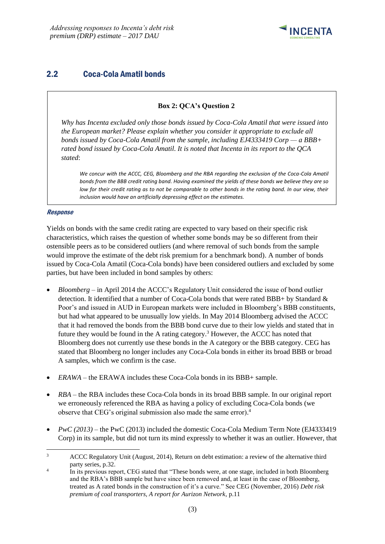

## <span id="page-4-0"></span>2.2 Coca-Cola Amatil bonds

### **Box 2: QCA's Question 2**

*Why has Incenta excluded only those bonds issued by Coca-Cola Amatil that were issued into the European market? Please explain whether you consider it appropriate to exclude all bonds issued by Coca-Cola Amatil from the sample, including EJ4333419 Corp — a BBB+ rated bond issued by Coca-Cola Amatil. It is noted that Incenta in its report to the QCA stated*:

*We concur with the ACCC, CEG, Bloomberg and the RBA regarding the exclusion of the Coca-Cola Amatil bonds from the BBB credit rating band. Having examined the yields of these bonds we believe they are so low for their credit rating as to not be comparable to other bonds in the rating band. In our view, their inclusion would have an artificially depressing effect on the estimates.* 

#### Response

Yields on bonds with the same credit rating are expected to vary based on their specific risk characteristics, which raises the question of whether some bonds may be so different from their ostensible peers as to be considered outliers (and where removal of such bonds from the sample would improve the estimate of the debt risk premium for a benchmark bond). A number of bonds issued by Coca-Cola Amatil (Coca-Cola bonds) have been considered outliers and excluded by some parties, but have been included in bond samples by others:

- *Bloomberg* in April 2014 the ACCC's Regulatory Unit considered the issue of bond outlier detection. It identified that a number of Coca-Cola bonds that were rated BBB+ by Standard & Poor's and issued in AUD in European markets were included in Bloomberg's BBB constituents, but had what appeared to be unusually low yields. In May 2014 Bloomberg advised the ACCC that it had removed the bonds from the BBB bond curve due to their low yields and stated that in future they would be found in the A rating category. <sup>3</sup> However, the ACCC has noted that Bloomberg does not currently use these bonds in the A category or the BBB category. CEG has stated that Bloomberg no longer includes any Coca-Cola bonds in either its broad BBB or broad A samples, which we confirm is the case.
- *ERAWA* the ERAWA includes these Coca-Cola bonds in its BBB+ sample.
- *RBA* the RBA includes these Coca-Cola bonds in its broad BBB sample. In our original report we erroneously referenced the RBA as having a policy of excluding Coca-Cola bonds (we observe that CEG's original submission also made the same error). 4
- *PwC (2013)* the PwC (2013) included the domestic Coca-Cola Medium Term Note (EJ4333419 Corp) in its sample, but did not turn its mind expressly to whether it was an outlier. However, that

 $\overline{3}$ <sup>3</sup> ACCC Regulatory Unit (August, 2014), Return on debt estimation: a review of the alternative third party series, p.32.

<sup>4</sup> In its previous report, CEG stated that "These bonds were, at one stage, included in both Bloomberg and the RBA's BBB sample but have since been removed and, at least in the case of Bloomberg, treated as A rated bonds in the construction of it's a curve." See CEG (November, 2016) *Debt risk premium of coal transporters, A report for Aurizon Network*, p.11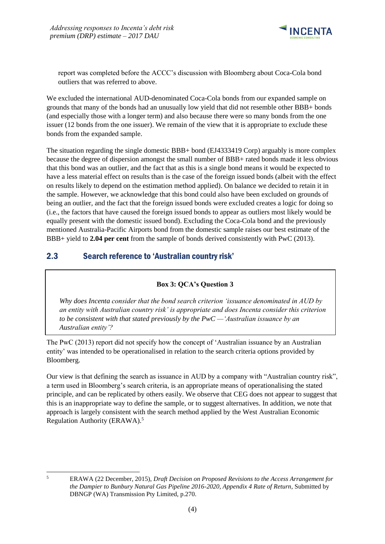

report was completed before the ACCC's discussion with Bloomberg about Coca-Cola bond outliers that was referred to above.

We excluded the international AUD-denominated Coca-Cola bonds from our expanded sample on grounds that many of the bonds had an unusually low yield that did not resemble other BBB+ bonds (and especially those with a longer term) and also because there were so many bonds from the one issuer (12 bonds from the one issuer). We remain of the view that it is appropriate to exclude these bonds from the expanded sample.

The situation regarding the single domestic BBB+ bond (EJ4333419 Corp) arguably is more complex because the degree of dispersion amongst the small number of BBB+ rated bonds made it less obvious that this bond was an outlier, and the fact that as this is a single bond means it would be expected to have a less material effect on results than is the case of the foreign issued bonds (albeit with the effect on results likely to depend on the estimation method applied). On balance we decided to retain it in the sample. However, we acknowledge that this bond could also have been excluded on grounds of being an outlier, and the fact that the foreign issued bonds were excluded creates a logic for doing so (i.e., the factors that have caused the foreign issued bonds to appear as outliers most likely would be equally present with the domestic issued bond). Excluding the Coca-Cola bond and the previously mentioned Australia-Pacific Airports bond from the domestic sample raises our best estimate of the BBB+ yield to **2.04 per cent** from the sample of bonds derived consistently with PwC (2013).

## <span id="page-5-0"></span>2.3 Search reference to 'Australian country risk'

### **Box 3: QCA's Question 3**

*Why does Incenta consider that the bond search criterion 'issuance denominated in AUD by an entity with Australian country risk' is appropriate and does Incenta consider this criterion to be consistent with that stated previously by the PwC —'Australian issuance by an Australian entity'?*

The PwC (2013) report did not specify how the concept of 'Australian issuance by an Australian entity' was intended to be operationalised in relation to the search criteria options provided by Bloomberg.

Our view is that defining the search as issuance in AUD by a company with "Australian country risk", a term used in Bloomberg's search criteria, is an appropriate means of operationalising the stated principle, and can be replicated by others easily. We observe that CEG does not appear to suggest that this is an inappropriate way to define the sample, or to suggest alternatives. In addition, we note that approach is largely consistent with the search method applied by the West Australian Economic Regulation Authority (ERAWA).<sup>5</sup>

 $\overline{5}$ 

<sup>5</sup> ERAWA (22 December, 2015), *Draft Decision on Proposed Revisions to the Access Arrangement for the Dampier to Bunbury Natural Gas Pipeline 2016-2020, Appendix 4 Rate of Return*, Submitted by DBNGP (WA) Transmission Pty Limited, p.270.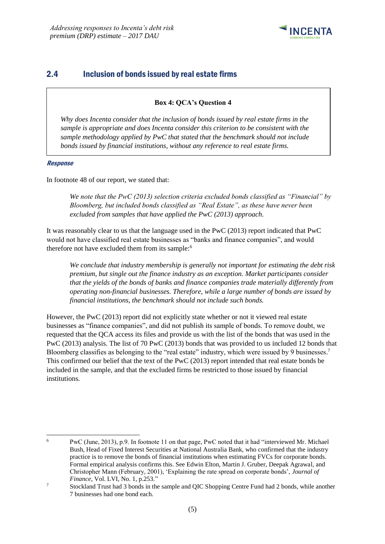

## <span id="page-6-0"></span>2.4 Inclusion of bonds issued by real estate firms

### **Box 4: QCA's Question 4**

*Why does Incenta consider that the inclusion of bonds issued by real estate firms in the sample is appropriate and does Incenta consider this criterion to be consistent with the sample methodology applied by PwC that stated that the benchmark should not include bonds issued by financial institutions, without any reference to real estate firms.*

#### Response

In footnote 48 of our report, we stated that:

*We note that the PwC (2013) selection criteria excluded bonds classified as "Financial" by Bloomberg, but included bonds classified as "Real Estate", as these have never been excluded from samples that have applied the PwC (2013) approach.*

It was reasonably clear to us that the language used in the PwC (2013) report indicated that PwC would not have classified real estate businesses as "banks and finance companies", and would therefore not have excluded them from its sample:<sup>6</sup>

*We conclude that industry membership is generally not important for estimating the debt risk premium, but single out the finance industry as an exception. Market participants consider that the yields of the bonds of banks and finance companies trade materially differently from operating non-financial businesses. Therefore, while a large number of bonds are issued by financial institutions, the benchmark should not include such bonds.*

However, the PwC (2013) report did not explicitly state whether or not it viewed real estate businesses as "finance companies", and did not publish its sample of bonds. To remove doubt, we requested that the QCA access its files and provide us with the list of the bonds that was used in the PwC (2013) analysis. The list of 70 PwC (2013) bonds that was provided to us included 12 bonds that Bloomberg classifies as belonging to the "real estate" industry, which were issued by 9 businesses.<sup>7</sup> This confirmed our belief that the text of the PwC (2013) report intended that real estate bonds be included in the sample, and that the excluded firms be restricted to those issued by financial institutions.

<sup>-</sup><sup>6</sup> PwC (June, 2013), p.9. In footnote 11 on that page, PwC noted that it had "interviewed Mr. Michael Bush, Head of Fixed Interest Securities at National Australia Bank, who confirmed that the industry practice is to remove the bonds of financial institutions when estimating FVCs for corporate bonds. Formal empirical analysis confirms this. See Edwin Elton, Martin J. Gruber, Deepak Agrawal, and Christopher Mann (February, 2001), 'Explaining the rate spread on corporate bonds', *Journal of Finance*, Vol. LVI, No. 1, p.253."

<sup>&</sup>lt;sup>7</sup> Stockland Trust had 3 bonds in the sample and QIC Shopping Centre Fund had 2 bonds, while another 7 businesses had one bond each.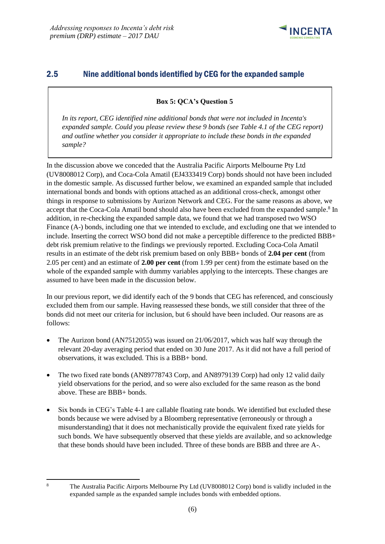

## <span id="page-7-0"></span>2.5 Nine additional bonds identified by CEG for the expanded sample

**Box 5: QCA's Question 5**

*In its report, CEG identified nine additional bonds that were not included in Incenta's expanded sample. Could you please review these 9 bonds (see Table 4.1 of the CEG report) and outline whether you consider it appropriate to include these bonds in the expanded sample?* 

In the discussion above we conceded that the Australia Pacific Airports Melbourne Pty Ltd (UV8008012 Corp), and Coca-Cola Amatil (EJ4333419 Corp) bonds should not have been included in the domestic sample. As discussed further below, we examined an expanded sample that included international bonds and bonds with options attached as an additional cross-check, amongst other things in response to submissions by Aurizon Network and CEG. For the same reasons as above, we accept that the Coca-Cola Amatil bond should also have been excluded from the expanded sample.<sup>8</sup> In addition, in re-checking the expanded sample data, we found that we had transposed two WSO Finance (A-) bonds, including one that we intended to exclude, and excluding one that we intended to include. Inserting the correct WSO bond did not make a perceptible difference to the predicted BBB+ debt risk premium relative to the findings we previously reported. Excluding Coca-Cola Amatil results in an estimate of the debt risk premium based on only BBB+ bonds of **2.04 per cent** (from 2.05 per cent) and an estimate of **2.00 per cent** (from 1.99 per cent) from the estimate based on the whole of the expanded sample with dummy variables applying to the intercepts. These changes are assumed to have been made in the discussion below.

In our previous report, we did identify each of the 9 bonds that CEG has referenced, and consciously excluded them from our sample. Having reassessed these bonds, we still consider that three of the bonds did not meet our criteria for inclusion, but 6 should have been included. Our reasons are as follows:

- The Aurizon bond (AN7512055) was issued on 21/06/2017, which was half way through the relevant 20-day averaging period that ended on 30 June 2017. As it did not have a full period of observations, it was excluded. This is a BBB+ bond.
- The two fixed rate bonds (AN89778743 Corp, and AN8979139 Corp) had only 12 valid daily yield observations for the period, and so were also excluded for the same reason as the bond above. These are BBB+ bonds.
- Six bonds in CEG's Table 4-1 are callable floating rate bonds. We identified but excluded these bonds because we were advised by a Bloomberg representative (erroneously or through a misunderstanding) that it does not mechanistically provide the equivalent fixed rate yields for such bonds. We have subsequently observed that these yields are available, and so acknowledge that these bonds should have been included. Three of these bonds are BBB and three are A-.

 $\sqrt{8}$ 

<sup>8</sup> The Australia Pacific Airports Melbourne Pty Ltd (UV8008012 Corp) bond is validly included in the expanded sample as the expanded sample includes bonds with embedded options.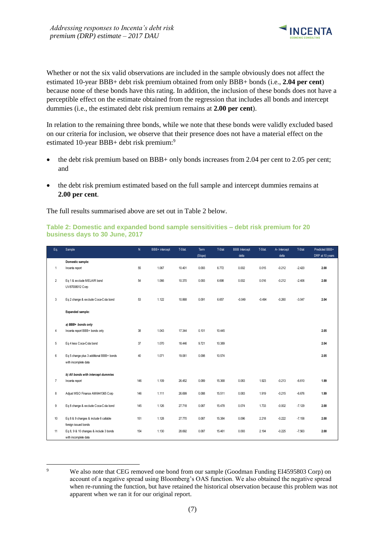

Whether or not the six valid observations are included in the sample obviously does not affect the estimated 10-year BBB+ debt risk premium obtained from only BBB+ bonds (i.e., **2.04 per cent**) because none of these bonds have this rating. In addition, the inclusion of these bonds does not have a perceptible effect on the estimate obtained from the regression that includes all bonds and intercept dummies (i.e., the estimated debt risk premium remains at **2.00 per cent**).

In relation to the remaining three bonds, while we note that these bonds were validly excluded based on our criteria for inclusion, we observe that their presence does not have a material effect on the estimated 10-year BBB+ debt risk premium:<sup>9</sup>

- the debt risk premium based on BBB+ only bonds increases from 2.04 per cent to 2.05 per cent; and
- the debt risk premium estimated based on the full sample and intercept dummies remains at **2.00 per cent**.

The full results summarised above are set out in Table 2 below.

#### **Table 2: Domestic and expanded bond sample sensitivities – debt risk premium for 20 business days to 30 June, 2017**

| Eq.            | Sample                                   | ${\sf N}$ | BBB+ intercept | T-Stat. | Term    | T-Stat | <b>BBB</b> Intercept | T-Stat.  | A- Intercept | T-Stat   | Predicted BBB+  |
|----------------|------------------------------------------|-----------|----------------|---------|---------|--------|----------------------|----------|--------------|----------|-----------------|
|                |                                          |           |                |         | (Slope) |        | delta                |          | delta        |          | DRP at 10 years |
|                | Domestic sample:                         |           |                |         |         |        |                      |          |              |          |                 |
| $\mathbf{1}$   | Incenta report                           | 55        | 1.067          | 10.401  | 0.093   | 6,772  | 0.002                | 0.015    | $-0.212$     | $-2.420$ | 2.00            |
|                |                                          |           |                |         |         |        |                      |          |              |          |                 |
| $\overline{2}$ | Eq 1 & exclude MELAIR bond               | 54        | 1.066          | 10.370  | 0.093   | 6.698  | 0.002                | 0.016    | $-0.212$     | $-2.406$ | 2.00            |
|                | UV87008012 Corp                          |           |                |         |         |        |                      |          |              |          |                 |
|                |                                          |           |                |         |         |        |                      |          |              |          |                 |
| 3              | Eq 2 change & exclude Coca-Cola bond     | 53        | 1.122          | 10.868  | 0.091   | 6.657  | $-0.049$             | $-0.494$ | $-0.260$     | $-3.047$ | 2.04            |
|                |                                          |           |                |         |         |        |                      |          |              |          |                 |
|                | <b>Expanded sample:</b>                  |           |                |         |         |        |                      |          |              |          |                 |
|                |                                          |           |                |         |         |        |                      |          |              |          |                 |
|                | a) BBB+ bonds only                       |           |                |         |         |        |                      |          |              |          |                 |
| 4              | Incenta report BBB+ bonds only           | 38        | 1.043          | 17.344  | 0.101   | 10.445 |                      |          |              |          | 2.05            |
|                |                                          |           |                |         |         |        |                      |          |              |          |                 |
| 5              | Eq 4 less Coca-Cola bond                 | 37        | 1.070          | 18,446  | 9.721   | 10.389 |                      |          |              |          | 2.04            |
|                |                                          |           |                |         |         |        |                      |          |              |          |                 |
| 6              | Eq 5 change plus 3 additional BBB+ bonds | 40        | 1.071          | 19.061  | 0.098   | 10.574 |                      |          |              |          | 2.05            |
|                | with incomplete data                     |           |                |         |         |        |                      |          |              |          |                 |
|                |                                          |           |                |         |         |        |                      |          |              |          |                 |
|                | b) All bonds with intercept dummies      |           |                |         |         |        |                      |          |              |          |                 |
| $\overline{7}$ | Incenta report                           | 146       | 1.109          | 26.452  | 0.089   | 15.368 | 0.083                | 1.923    | $-0.213$     | $-6.610$ | 1.99            |
|                |                                          |           |                |         |         |        |                      |          |              |          |                 |
| 8              | Adjust WSO Finance AM6441365 Corp        | 146       | 1.111          | 26.699  | 0.088   | 15.511 | 0.083                | 1.919    | $-0.215$     | $-6.676$ | 1.99            |
|                |                                          |           |                |         |         |        |                      |          |              |          |                 |
|                |                                          | 145       | 1.126          | 27.718  | 0.087   | 15.478 | 0.074                | 1.733    | $-0.002$     | $-7.129$ | 2.00            |
| 9              | Eq 8 change & exclude Coca-Cola bond     |           |                |         |         |        |                      |          |              |          |                 |
|                |                                          |           |                |         |         |        |                      |          |              |          |                 |
| 10             | Eq 8 & 9 changes & include 6 callable    | 151       | 1.128          | 27.770  | 0.087   | 15.384 | 0.096                | 2.218    | $-0.222$     | $-7.158$ | 2.00            |
|                | foreign issued bonds                     |           |                |         |         |        |                      |          |              |          |                 |
| 11             | Eq 8, 9 & 10 changes & include 3 bonds   | 154       | 1.130          | 28.692  | 0.087   | 15.461 | 0.093                | 2.194    | $-0.225$     | $-7.563$ | 2.00            |
|                | with incomplete data                     |           |                |         |         |        |                      |          |              |          |                 |

 $\overline{Q}$ 

We also note that CEG removed one bond from our sample (Goodman Funding EI4595803 Corp) on account of a negative spread using Bloomberg's OAS function. We also obtained the negative spread when re-running the function, but have retained the historical observation because this problem was not apparent when we ran it for our original report.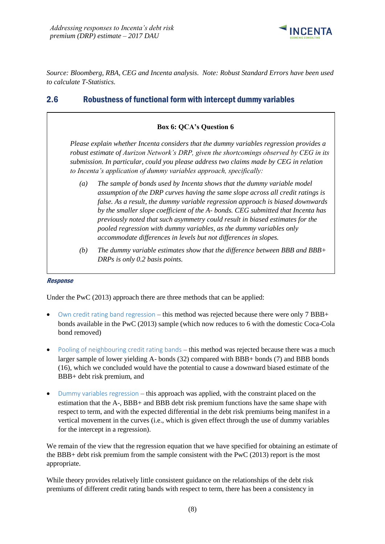

*Source: Bloomberg, RBA, CEG and Incenta analysis. Note: Robust Standard Errors have been used to calculate T-Statistics.*

## <span id="page-9-0"></span>2.6 Robustness of functional form with intercept dummy variables

### **Box 6: QCA's Question 6**

*Please explain whether Incenta considers that the dummy variables regression provides a robust estimate of Aurizon Network's DRP, given the shortcomings observed by CEG in its submission. In particular, could you please address two claims made by CEG in relation to Incenta's application of dummy variables approach, specifically:*

- *(a) The sample of bonds used by Incenta shows that the dummy variable model assumption of the DRP curves having the same slope across all credit ratings is false. As a result, the dummy variable regression approach is biased downwards by the smaller slope coefficient of the A- bonds. CEG submitted that Incenta has previously noted that such asymmetry could result in biased estimates for the pooled regression with dummy variables, as the dummy variables only accommodate differences in levels but not differences in slopes.*
- *(b) The dummy variable estimates show that the difference between BBB and BBB+ DRPs is only 0.2 basis points.*

#### Response

Under the PwC (2013) approach there are three methods that can be applied:

- Own credit rating band regression this method was rejected because there were only 7 BBB+ bonds available in the PwC (2013) sample (which now reduces to 6 with the domestic Coca-Cola bond removed)
- Pooling of neighbouring credit rating bands this method was rejected because there was a much larger sample of lower yielding A- bonds (32) compared with BBB+ bonds (7) and BBB bonds (16), which we concluded would have the potential to cause a downward biased estimate of the BBB+ debt risk premium, and
- Dummy variables regression this approach was applied, with the constraint placed on the estimation that the A-, BBB+ and BBB debt risk premium functions have the same shape with respect to term, and with the expected differential in the debt risk premiums being manifest in a vertical movement in the curves (i.e., which is given effect through the use of dummy variables for the intercept in a regression).

We remain of the view that the regression equation that we have specified for obtaining an estimate of the BBB+ debt risk premium from the sample consistent with the PwC (2013) report is the most appropriate.

While theory provides relatively little consistent guidance on the relationships of the debt risk premiums of different credit rating bands with respect to term, there has been a consistency in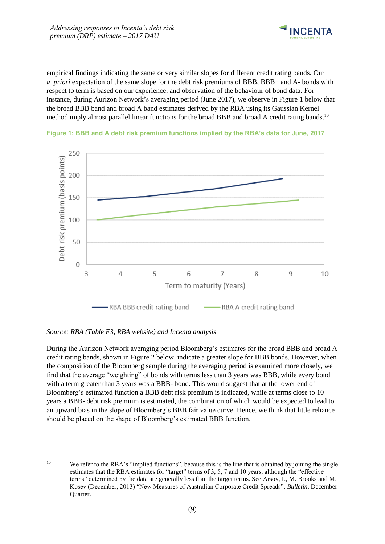

empirical findings indicating the same or very similar slopes for different credit rating bands. Our *a priori* expectation of the same slope for the debt risk premiums of BBB, BBB+ and A- bonds with respect to term is based on our experience, and observation of the behaviour of bond data. For instance, during Aurizon Network's averaging period (June 2017), we observe in Figure 1 below that the broad BBB band and broad A band estimates derived by the RBA using its Gaussian Kernel method imply almost parallel linear functions for the broad BBB and broad A credit rating bands.<sup>10</sup>





#### *Source: RBA (Table F3, RBA website) and Incenta analysis*

During the Aurizon Network averaging period Bloomberg's estimates for the broad BBB and broad A credit rating bands, shown in Figure 2 below, indicate a greater slope for BBB bonds. However, when the composition of the Bloomberg sample during the averaging period is examined more closely, we find that the average "weighting" of bonds with terms less than 3 years was BBB, while every bond with a term greater than 3 years was a BBB- bond. This would suggest that at the lower end of Bloomberg's estimated function a BBB debt risk premium is indicated, while at terms close to 10 years a BBB- debt risk premium is estimated, the combination of which would be expected to lead to an upward bias in the slope of Bloomberg's BBB fair value curve. Hence, we think that little reliance should be placed on the shape of Bloomberg's estimated BBB function.

 $10$ We refer to the RBA's "implied functions", because this is the line that is obtained by joining the single estimates that the RBA estimates for "target" terms of 3, 5, 7 and 10 years, although the "effective terms" determined by the data are generally less than the target terms. See Arsov, I., M. Brooks and M. Kosev (December, 2013) "New Measures of Australian Corporate Credit Spreads", *Bulletin*, December Quarter.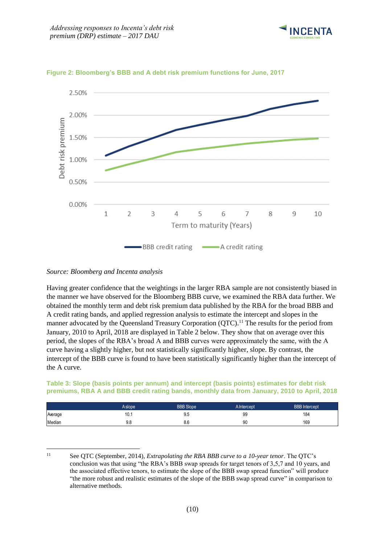



**Figure 2: Bloomberg's BBB and A debt risk premium functions for June, 2017**

Having greater confidence that the weightings in the larger RBA sample are not consistently biased in the manner we have observed for the Bloomberg BBB curve, we examined the RBA data further. We obtained the monthly term and debt risk premium data published by the RBA for the broad BBB and A credit rating bands, and applied regression analysis to estimate the intercept and slopes in the manner advocated by the Queensland Treasury Corporation (QTC).<sup>11</sup> The results for the period from January, 2010 to April, 2018 are displayed in Table 2 below. They show that on average over this period, the slopes of the RBA's broad A and BBB curves were approximately the same, with the A curve having a slightly higher, but not statistically significantly higher, slope. By contrast, the intercept of the BBB curve is found to have been statistically significantly higher than the intercept of the A curve.

**Table 3: Slope (basis points per annum) and intercept (basis points) estimates for debt risk premiums, RBA A and BBB credit rating bands, monthly data from January, 2010 to April, 2018**

|         | A slope   | <b>BBB Slope</b> | A Intercept | <b>BBB</b> Intercept |
|---------|-----------|------------------|-------------|----------------------|
| Average | 10<br>IV. | ΩF<br>ອ.ບ        | 99          | 184                  |
| Median  | 9.8       | 8.6              | 90          | 169                  |

 $11$ <sup>11</sup> See QTC (September, 2014), *Extrapolating the RBA BBB curve to a 10-year tenor*. The QTC's conclusion was that using "the RBA's BBB swap spreads for target tenors of 3,5,7 and 10 years, and the associated effective tenors, to estimate the slope of the BBB swap spread function" will produce "the more robust and realistic estimates of the slope of the BBB swap spread curve" in comparison to alternative methods.

*Source: Bloomberg and Incenta analysis*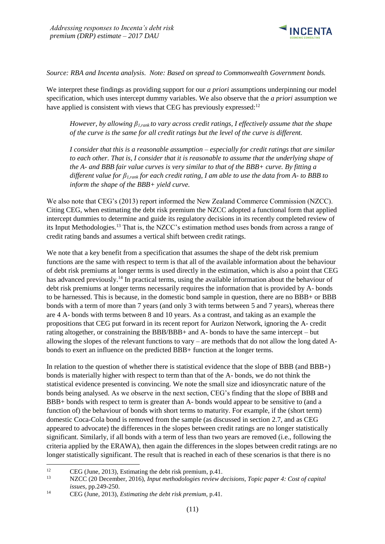

*Source: RBA and Incenta analysis. Note: Based on spread to Commonwealth Government bonds.*

We interpret these findings as providing support for our *a priori* assumptions underpinning our model specification, which uses intercept dummy variables. We also observe that the *a priori* assumption we have applied is consistent with views that CEG has previously expressed: $12$ 

*However, by allowing β1,rank to vary across credit ratings, I effectively assume that the shape of the curve is the same for all credit ratings but the level of the curve is different.* 

*I consider that this is a reasonable assumption – especially for credit ratings that are similar to each other. That is, I consider that it is reasonable to assume that the underlying shape of the A- and BBB fair value curves is very similar to that of the BBB+ curve. By fitting a different value for β1,rank for each credit rating, I am able to use the data from A- to BBB to inform the shape of the BBB+ yield curve.*

We also note that CEG's (2013) report informed the New Zealand Commerce Commission (NZCC). Citing CEG, when estimating the debt risk premium the NZCC adopted a functional form that applied intercept dummies to determine and guide its regulatory decisions in its recently completed review of its Input Methodologies.<sup>13</sup> That is, the NZCC's estimation method uses bonds from across a range of credit rating bands and assumes a vertical shift between credit ratings.

We note that a key benefit from a specification that assumes the shape of the debt risk premium functions are the same with respect to term is that all of the available information about the behaviour of debt risk premiums at longer terms is used directly in the estimation, which is also a point that CEG has advanced previously.<sup>14</sup> In practical terms, using the available information about the behaviour of debt risk premiums at longer terms necessarily requires the information that is provided by A- bonds to be harnessed. This is because, in the domestic bond sample in question, there are no BBB+ or BBB bonds with a term of more than 7 years (and only 3 with terms between 5 and 7 years), whereas there are 4 A- bonds with terms between 8 and 10 years. As a contrast, and taking as an example the propositions that CEG put forward in its recent report for Aurizon Network, ignoring the A- credit rating altogether, or constraining the BBB/BBB+ and A- bonds to have the same intercept – but allowing the slopes of the relevant functions to vary – are methods that do not allow the long dated Abonds to exert an influence on the predicted BBB+ function at the longer terms.

In relation to the question of whether there is statistical evidence that the slope of BBB (and BBB+) bonds is materially higher with respect to term than that of the A- bonds, we do not think the statistical evidence presented is convincing. We note the small size and idiosyncratic nature of the bonds being analysed. As we observe in the next section, CEG's finding that the slope of BBB and BBB+ bonds with respect to term is greater than A- bonds would appear to be sensitive to (and a function of) the behaviour of bonds with short terms to maturity. For example, if the (short term) domestic Coca-Cola bond is removed from the sample (as discussed in section 2.7, and as CEG appeared to advocate) the differences in the slopes between credit ratings are no longer statistically significant. Similarly, if all bonds with a term of less than two years are removed (i.e., following the criteria applied by the ERAWA), then again the differences in the slopes between credit ratings are no longer statistically significant. The result that is reached in each of these scenarios is that there is no

 $12$ <sup>12</sup> CEG (June, 2013), Estimating the debt risk premium, p.41.<br><sup>13</sup> NZCC (20 December, 2016), *Input methodologies review* 

<sup>13</sup> NZCC (20 December, 2016), *Input methodologies review decisions, Topic paper 4: Cost of capital issues*, pp.249-250.

<sup>14</sup> CEG (June, 2013), *Estimating the debt risk premium*, p.41.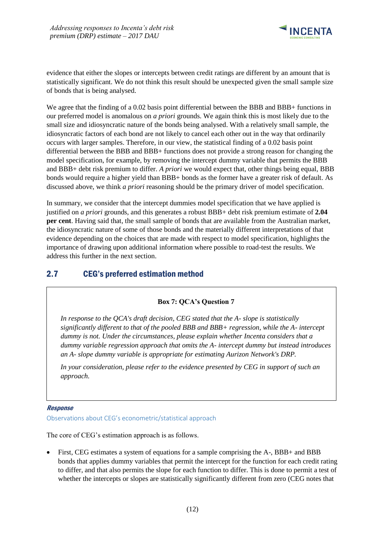

evidence that either the slopes or intercepts between credit ratings are different by an amount that is statistically significant. We do not think this result should be unexpected given the small sample size of bonds that is being analysed.

We agree that the finding of a 0.02 basis point differential between the BBB and BBB+ functions in our preferred model is anomalous on *a priori* grounds. We again think this is most likely due to the small size and idiosyncratic nature of the bonds being analysed. With a relatively small sample, the idiosyncratic factors of each bond are not likely to cancel each other out in the way that ordinarily occurs with larger samples. Therefore, in our view, the statistical finding of a 0.02 basis point differential between the BBB and BBB+ functions does not provide a strong reason for changing the model specification, for example, by removing the intercept dummy variable that permits the BBB and BBB+ debt risk premium to differ. *A priori* we would expect that, other things being equal, BBB bonds would require a higher yield than BBB+ bonds as the former have a greater risk of default. As discussed above, we think *a priori* reasoning should be the primary driver of model specification.

In summary, we consider that the intercept dummies model specification that we have applied is justified on *a priori* grounds, and this generates a robust BBB+ debt risk premium estimate of **2.04 per cent**. Having said that, the small sample of bonds that are available from the Australian market, the idiosyncratic nature of some of those bonds and the materially different interpretations of that evidence depending on the choices that are made with respect to model specification, highlights the importance of drawing upon additional information where possible to road-test the results. We address this further in the next section.

## <span id="page-13-0"></span>2.7 CEG's preferred estimation method

### **Box 7: QCA's Question 7**

*In response to the QCA's draft decision, CEG stated that the A- slope is statistically significantly different to that of the pooled BBB and BBB+ regression, while the A- intercept dummy is not. Under the circumstances, please explain whether Incenta considers that a dummy variable regression approach that omits the A- intercept dummy but instead introduces an A- slope dummy variable is appropriate for estimating Aurizon Network's DRP.* 

In your consideration, please refer to the evidence presented by CEG in support of such an *approach.*

#### Response

Observations about CEG's econometric/statistical approach

The core of CEG's estimation approach is as follows.

• First, CEG estimates a system of equations for a sample comprising the A-, BBB+ and BBB bonds that applies dummy variables that permit the intercept for the function for each credit rating to differ, and that also permits the slope for each function to differ. This is done to permit a test of whether the intercepts or slopes are statistically significantly different from zero (CEG notes that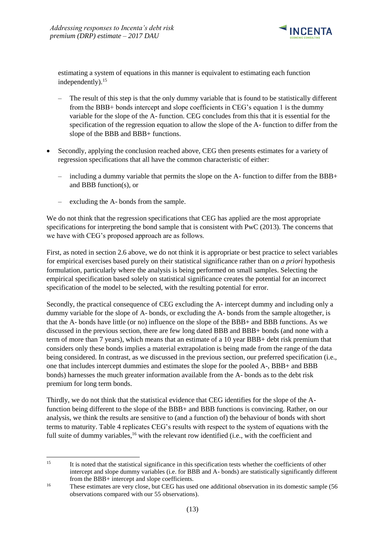

estimating a system of equations in this manner is equivalent to estimating each function independently).<sup>15</sup>

- The result of this step is that the only dummy variable that is found to be statistically different from the BBB+ bonds intercept and slope coefficients in CEG's equation 1 is the dummy variable for the slope of the A- function. CEG concludes from this that it is essential for the specification of the regression equation to allow the slope of the A- function to differ from the slope of the BBB and BBB+ functions.
- Secondly, applying the conclusion reached above, CEG then presents estimates for a variety of regression specifications that all have the common characteristic of either:
	- including a dummy variable that permits the slope on the A- function to differ from the BBB+ and BBB function(s), or
	- excluding the A- bonds from the sample.

We do not think that the regression specifications that CEG has applied are the most appropriate specifications for interpreting the bond sample that is consistent with PwC (2013). The concerns that we have with CEG's proposed approach are as follows.

First, as noted in section 2.6 above, we do not think it is appropriate or best practice to select variables for empirical exercises based purely on their statistical significance rather than on *a priori* hypothesis formulation, particularly where the analysis is being performed on small samples. Selecting the empirical specification based solely on statistical significance creates the potential for an incorrect specification of the model to be selected, with the resulting potential for error.

Secondly, the practical consequence of CEG excluding the A- intercept dummy and including only a dummy variable for the slope of A- bonds, or excluding the A- bonds from the sample altogether, is that the A- bonds have little (or no) influence on the slope of the BBB+ and BBB functions. As we discussed in the previous section, there are few long dated BBB and BBB+ bonds (and none with a term of more than 7 years), which means that an estimate of a 10 year BBB+ debt risk premium that considers only these bonds implies a material extrapolation is being made from the range of the data being considered. In contrast, as we discussed in the previous section, our preferred specification (i.e., one that includes intercept dummies and estimates the slope for the pooled A-, BBB+ and BBB bonds) harnesses the much greater information available from the A- bonds as to the debt risk premium for long term bonds.

Thirdly, we do not think that the statistical evidence that CEG identifies for the slope of the Afunction being different to the slope of the BBB+ and BBB functions is convincing. Rather, on our analysis, we think the results are sensitive to (and a function of) the behaviour of bonds with short terms to maturity. Table 4 replicates CEG's results with respect to the system of equations with the full suite of dummy variables,<sup>16</sup> with the relevant row identified (i.e., with the coefficient and

 $15$ <sup>15</sup> It is noted that the statistical significance in this specification tests whether the coefficients of other intercept and slope dummy variables (i.e. for BBB and A- bonds) are statistically significantly different from the BBB+ intercept and slope coefficients.

<sup>&</sup>lt;sup>16</sup> These estimates are very close, but CEG has used one additional observation in its domestic sample (56 observations compared with our 55 observations).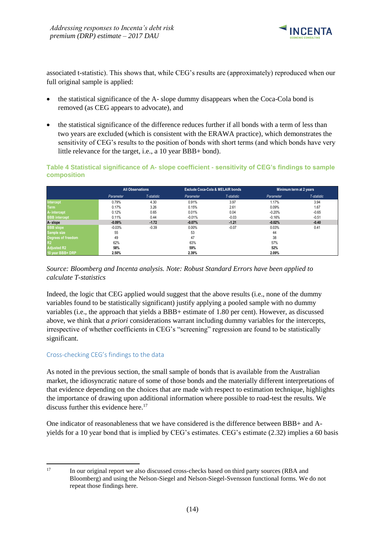

associated t-statistic). This shows that, while CEG's results are (approximately) reproduced when our full original sample is applied:

- the statistical significance of the A- slope dummy disappears when the Coca-Cola bond is removed (as CEG appears to advocate), and
- the statistical significance of the difference reduces further if all bonds with a term of less than two years are excluded (which is consistent with the ERAWA practice), which demonstrates the sensitivity of CEG's results to the position of bonds with short terms (and which bonds have very little relevance for the target, i.e., a 10 year BBB+ bond).

#### **Table 4 Statistical significance of A- slope coefficient - sensitivity of CEG's findings to sample composition**

|                      |                          | <b>All Observations</b> |           | <b>Exclude Coca-Cola &amp; MELAIR bonds</b> | Minimum term at 2 years |             |  |
|----------------------|--------------------------|-------------------------|-----------|---------------------------------------------|-------------------------|-------------|--|
|                      | T-statistic<br>Parameter |                         | Parameter | T-statistic                                 | Parameter               | T-statistic |  |
| Intercept            | 0.79%                    | 4.30                    | 0.91%     | 3.97                                        | 1.17%                   | 3.94        |  |
| <b>Term</b>          | 0.17%                    | 3.26                    | 0.15%     | 2.61                                        | 0.09%                   | 1.67        |  |
| A-intercept          | 0.12%                    | 0.65                    | 0.01%     | 0.04                                        | $-0.20%$                | $-0.65$     |  |
| <b>BBB</b> intercept | 0.11%                    | 0.44                    | $-0.01%$  | $-0.03$                                     | $-0.16%$                | $-0.51$     |  |
| A-slope              | $-0.09%$                 | $-1.72$                 | $-0.07%$  | $-1.21$                                     | $-0.02%$                | $-0.40$     |  |
| <b>BBB</b> slope     | $-0.03%$                 | $-0.39$                 | 0.00%     | $-0.07$                                     | 0.03%                   | 0.41        |  |
| Sample size          | 55                       |                         | 53        |                                             | 44                      |             |  |
| Degrees of freedom   | 49                       |                         | 47        |                                             | 38                      |             |  |
| R <sub>2</sub>       | 62%                      |                         | 63%       |                                             |                         |             |  |
| <b>Adjusted R2</b>   | 58%                      |                         | 59%       |                                             | 52%                     |             |  |
| 10 year BBB+ DRP     | 2.50%                    |                         | 2.39%     |                                             | 2.09%                   |             |  |



Indeed, the logic that CEG applied would suggest that the above results (i.e., none of the dummy variables found to be statistically significant) justify applying a pooled sample with no dummy variables (i.e., the approach that yields a BBB+ estimate of 1.80 per cent). However, as discussed above, we think that *a priori* considerations warrant including dummy variables for the intercepts, irrespective of whether coefficients in CEG's "screening" regression are found to be statistically significant.

### Cross-checking CEG's findings to the data

As noted in the previous section, the small sample of bonds that is available from the Australian market, the idiosyncratic nature of some of those bonds and the materially different interpretations of that evidence depending on the choices that are made with respect to estimation technique, highlights the importance of drawing upon additional information where possible to road-test the results. We discuss further this evidence here.<sup>17</sup>

One indicator of reasonableness that we have considered is the difference between BBB+ and Ayields for a 10 year bond that is implied by CEG's estimates. CEG's estimate (2.32) implies a 60 basis

 $17$ <sup>17</sup> In our original report we also discussed cross-checks based on third party sources (RBA and Bloomberg) and using the Nelson-Siegel and Nelson-Siegel-Svensson functional forms. We do not repeat those findings here.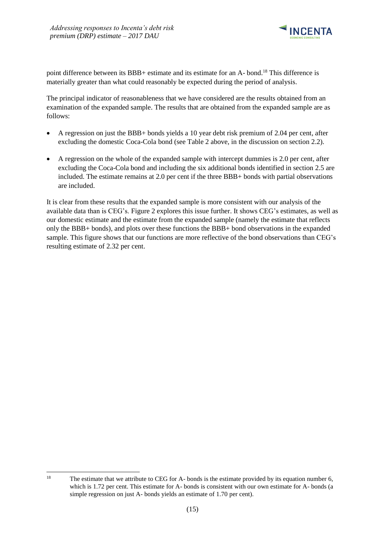

point difference between its BBB+ estimate and its estimate for an A- bond.<sup>18</sup> This difference is materially greater than what could reasonably be expected during the period of analysis.

The principal indicator of reasonableness that we have considered are the results obtained from an examination of the expanded sample. The results that are obtained from the expanded sample are as follows:

- A regression on just the BBB+ bonds yields a 10 year debt risk premium of 2.04 per cent, after excluding the domestic Coca-Cola bond (see Table 2 above, in the discussion on section 2.2).
- A regression on the whole of the expanded sample with intercept dummies is 2.0 per cent, after excluding the Coca-Cola bond and including the six additional bonds identified in section 2.5 are included. The estimate remains at 2.0 per cent if the three BBB+ bonds with partial observations are included.

It is clear from these results that the expanded sample is more consistent with our analysis of the available data than is CEG's. Figure 2 explores this issue further. It shows CEG's estimates, as well as our domestic estimate and the estimate from the expanded sample (namely the estimate that reflects only the BBB+ bonds), and plots over these functions the BBB+ bond observations in the expanded sample. This figure shows that our functions are more reflective of the bond observations than CEG's resulting estimate of 2.32 per cent.

<sup>18</sup> The estimate that we attribute to CEG for A- bonds is the estimate provided by its equation number 6, which is 1.72 per cent. This estimate for A- bonds is consistent with our own estimate for A- bonds (a simple regression on just A- bonds yields an estimate of 1.70 per cent).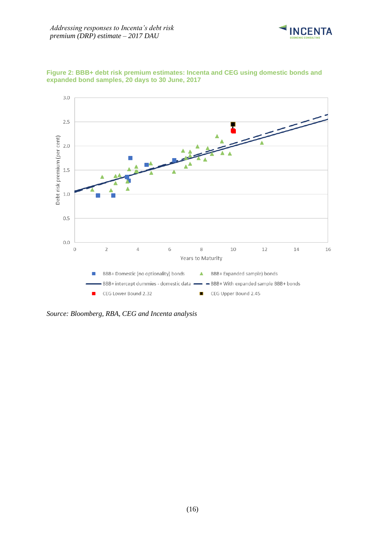



**Figure 2: BBB+ debt risk premium estimates: Incenta and CEG using domestic bonds and expanded bond samples, 20 days to 30 June, 2017**

*Source: Bloomberg, RBA, CEG and Incenta analysis*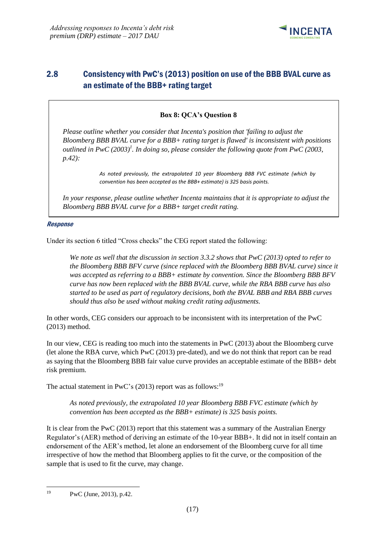

## <span id="page-18-0"></span>2.8 Consistency with PwC's (2013) position on use of the BBB BVAL curve as an estimate of the BBB+ rating target

### **Box 8: QCA's Question 8**

*Please outline whether you consider that Incenta's position that 'failing to adjust the Bloomberg BBB BVAL curve for a BBB+ rating target is flawed' is inconsistent with positions outlined in PwC (2003)<sup>1</sup> . In doing so, please consider the following quote from PwC (2003, p.42):*

> *As noted previously, the extrapolated 10 year Bloomberg BBB FVC estimate (which by convention has been accepted as the BBB+ estimate) is 325 basis points.*

*In your response, please outline whether Incenta maintains that it is appropriate to adjust the Bloomberg BBB BVAL curve for a BBB+ target credit rating.*

#### Response

Under its section 6 titled "Cross checks" the CEG report stated the following:

*We note as well that the discussion in section 3.3.2 shows that PwC (2013) opted to refer to the Bloomberg BBB BFV curve (since replaced with the Bloomberg BBB BVAL curve) since it was accepted as referring to a BBB+ estimate by convention. Since the Bloomberg BBB BFV curve has now been replaced with the BBB BVAL curve, while the RBA BBB curve has also started to be used as part of regulatory decisions, both the BVAL BBB and RBA BBB curves should thus also be used without making credit rating adjustments.*

In other words, CEG considers our approach to be inconsistent with its interpretation of the PwC (2013) method.

In our view, CEG is reading too much into the statements in PwC (2013) about the Bloomberg curve (let alone the RBA curve, which PwC (2013) pre-dated), and we do not think that report can be read as saying that the Bloomberg BBB fair value curve provides an acceptable estimate of the BBB+ debt risk premium.

The actual statement in PwC's  $(2013)$  report was as follows:<sup>19</sup>

*As noted previously, the extrapolated 10 year Bloomberg BBB FVC estimate (which by convention has been accepted as the BBB+ estimate) is 325 basis points.*

It is clear from the PwC (2013) report that this statement was a summary of the Australian Energy Regulator's (AER) method of deriving an estimate of the 10-year BBB+. It did not in itself contain an endorsement of the AER's method, let alone an endorsement of the Bloomberg curve for all time irrespective of how the method that Bloomberg applies to fit the curve, or the composition of the sample that is used to fit the curve, may change.

<sup>1</sup> <sup>19</sup> PwC (June, 2013), p.42.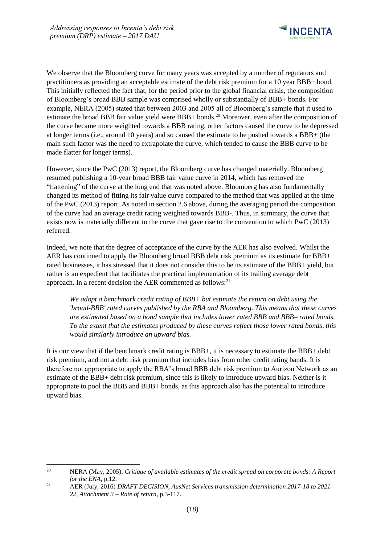

We observe that the Bloomberg curve for many years was accepted by a number of regulators and practitioners as providing an acceptable estimate of the debt risk premium for a 10 year BBB+ bond. This initially reflected the fact that, for the period prior to the global financial crisis, the composition of Bloomberg's broad BBB sample was comprised wholly or substantially of BBB+ bonds. For example, NERA (2005) stated that between 2003 and 2005 all of Bloomberg's sample that it used to estimate the broad BBB fair value yield were BBB+ bonds.<sup>20</sup> Moreover, even after the composition of the curve became more weighted towards a BBB rating, other factors caused the curve to be depressed at longer terms (i.e., around 10 years) and so caused the estimate to be pushed towards a BBB+ (the main such factor was the need to extrapolate the curve, which tended to cause the BBB curve to be made flatter for longer terms).

However, since the PwC (2013) report, the Bloomberg curve has changed materially. Bloomberg resumed publishing a 10-year broad BBB fair value curve in 2014, which has removed the "flattening" of the curve at the long end that was noted above. Bloomberg has also fundamentally changed its method of fitting its fair value curve compared to the method that was applied at the time of the PwC (2013) report. As noted in section 2.6 above, during the averaging period the composition of the curve had an average credit rating weighted towards BBB-. Thus, in summary, the curve that exists now is materially different to the curve that gave rise to the convention to which PwC (2013) referred.

Indeed, we note that the degree of acceptance of the curve by the AER has also evolved. Whilst the AER has continued to apply the Bloomberg broad BBB debt risk premium as its estimate for BBB+ rated businesses, it has stressed that it does not consider this to be its estimate of the BBB+ yield, but rather is an expedient that facilitates the practical implementation of its trailing average debt approach. In a recent decision the AER commented as follows:<sup>21</sup>

*We adopt a benchmark credit rating of BBB+ but estimate the return on debt using the 'broad-BBB' rated curves published by the RBA and Bloomberg. This means that these curves are estimated based on a bond sample that includes lower rated BBB and BBB– rated bonds. To the extent that the estimates produced by these curves reflect those lower rated bonds, this would similarly introduce an upward bias.*

It is our view that if the benchmark credit rating is BBB+, it is necessary to estimate the BBB+ debt risk premium, and not a debt risk premium that includes bias from other credit rating bands. It is therefore not appropriate to apply the RBA's broad BBB debt risk premium to Aurizon Network as an estimate of the BBB+ debt risk premium, since this is likely to introduce upward bias. Neither is it appropriate to pool the BBB and BBB+ bonds, as this approach also has the potential to introduce upward bias.

 $20\,$ <sup>20</sup> NERA (May, 2005), *Critique of available estimates of the credit spread on corporate bonds: A Report for the ENA*, p.12.

<sup>21</sup> AER (July, 2016) *DRAFT DECISION, AusNet Services transmission determination 2017-18 to 2021- 22, Attachment 3 – Rate of return,* p.3-117.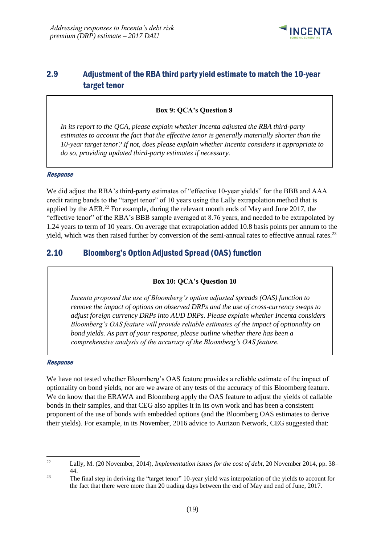

## <span id="page-20-0"></span>2.9 Adjustment of the RBA third party yield estimate to match the 10-year target tenor

### **Box 9: QCA's Question 9**

*In its report to the QCA, please explain whether Incenta adjusted the RBA third-party estimates to account the fact that the effective tenor is generally materially shorter than the 10-year target tenor? If not, does please explain whether Incenta considers it appropriate to do so, providing updated third-party estimates if necessary.* 

#### Response

We did adjust the RBA's third-party estimates of "effective 10-year yields" for the BBB and AAA credit rating bands to the "target tenor" of 10 years using the Lally extrapolation method that is applied by the AER.<sup>22</sup> For example, during the relevant month ends of May and June 2017, the "effective tenor" of the RBA's BBB sample averaged at 8.76 years, and needed to be extrapolated by 1.24 years to term of 10 years. On average that extrapolation added 10.8 basis points per annum to the yield, which was then raised further by conversion of the semi-annual rates to effective annual rates.<sup>23</sup>

## <span id="page-20-1"></span>2.10 Bloomberg's Option Adjusted Spread (OAS) function

### **Box 10: QCA's Question 10**

*Incenta proposed the use of Bloomberg's option adjusted spreads (OAS) function to remove the impact of options on observed DRPs and the use of cross-currency swaps to adjust foreign currency DRPs into AUD DRPs. Please explain whether Incenta considers Bloomberg's OAS feature will provide reliable estimates of the impact of optionality on bond yields. As part of your response, please outline whether there has been a comprehensive analysis of the accuracy of the Bloomberg's OAS feature.*

#### Response

We have not tested whether Bloomberg's OAS feature provides a reliable estimate of the impact of optionality on bond yields, nor are we aware of any tests of the accuracy of this Bloomberg feature. We do know that the ERAWA and Bloomberg apply the OAS feature to adjust the yields of callable bonds in their samples, and that CEG also applies it in its own work and has been a consistent proponent of the use of bonds with embedded options (and the Bloomberg OAS estimates to derive their yields). For example, in its November, 2016 advice to Aurizon Network, CEG suggested that:

 $22\,$ <sup>22</sup> Lally, M. (20 November, 2014), *Implementation issues for the cost of debt*, 20 November 2014, pp. 38– 44.

<sup>23</sup> The final step in deriving the "target tenor" 10-year yield was interpolation of the yields to account for the fact that there were more than 20 trading days between the end of May and end of June, 2017.